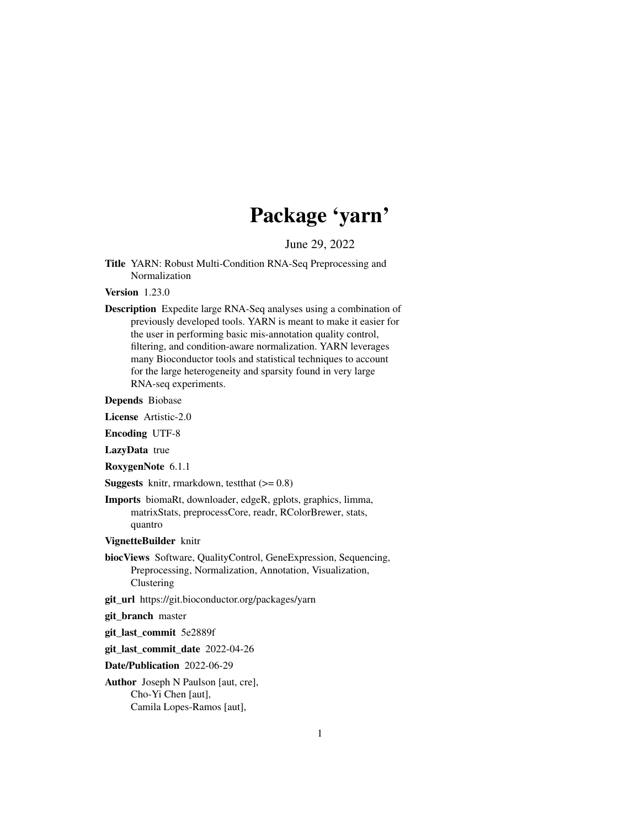# Package 'yarn'

June 29, 2022

<span id="page-0-0"></span>Title YARN: Robust Multi-Condition RNA-Seq Preprocessing and Normalization

Version 1.23.0

Description Expedite large RNA-Seq analyses using a combination of previously developed tools. YARN is meant to make it easier for the user in performing basic mis-annotation quality control, filtering, and condition-aware normalization. YARN leverages many Bioconductor tools and statistical techniques to account for the large heterogeneity and sparsity found in very large RNA-seq experiments.

Depends Biobase

License Artistic-2.0

Encoding UTF-8

LazyData true

RoxygenNote 6.1.1

**Suggests** knitr, rmarkdown, test that  $(>= 0.8)$ 

Imports biomaRt, downloader, edgeR, gplots, graphics, limma, matrixStats, preprocessCore, readr, RColorBrewer, stats, quantro

VignetteBuilder knitr

biocViews Software, QualityControl, GeneExpression, Sequencing, Preprocessing, Normalization, Annotation, Visualization, Clustering

git\_url https://git.bioconductor.org/packages/yarn

git\_branch master

git\_last\_commit 5e2889f

git\_last\_commit\_date 2022-04-26

Date/Publication 2022-06-29

Author Joseph N Paulson [aut, cre], Cho-Yi Chen [aut], Camila Lopes-Ramos [aut],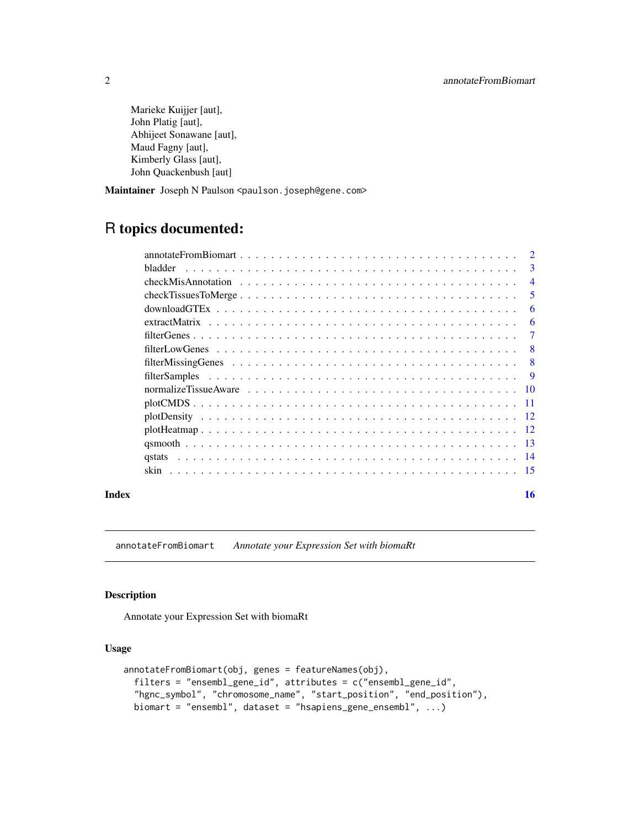<span id="page-1-0"></span>Marieke Kuijjer [aut], John Platig [aut], Abhijeet Sonawane [aut], Maud Fagny [aut], Kimberly Glass [aut], John Quackenbush [aut]

Maintainer Joseph N Paulson <paulson.joseph@gene.com>

## R topics documented:

| bladder.                    | $\mathbf{3}$   |
|-----------------------------|----------------|
|                             | $\overline{4}$ |
|                             | 5              |
|                             | 6              |
|                             | 6              |
|                             |                |
|                             | 8              |
|                             | $\mathbf{8}$   |
|                             | 9              |
|                             | 10             |
|                             | -11            |
|                             |                |
|                             |                |
|                             | -13            |
| <i><u><b>astats</b></u></i> | 14             |
|                             | -15            |
|                             |                |

#### **Index** and the contract of the contract of the contract of the contract of the contract of the contract of the contract of the contract of the contract of the contract of the contract of the contract of the contract of th

annotateFromBiomart *Annotate your Expression Set with biomaRt*

#### Description

Annotate your Expression Set with biomaRt

#### Usage

```
annotateFromBiomart(obj, genes = featureNames(obj),
 filters = "ensembl_gene_id", attributes = c("ensembl_gene_id",
 "hgnc_symbol", "chromosome_name", "start_position", "end_position"),
 biomart = "ensembl", dataset = "hsapiens_gene_ensembl", ...)
```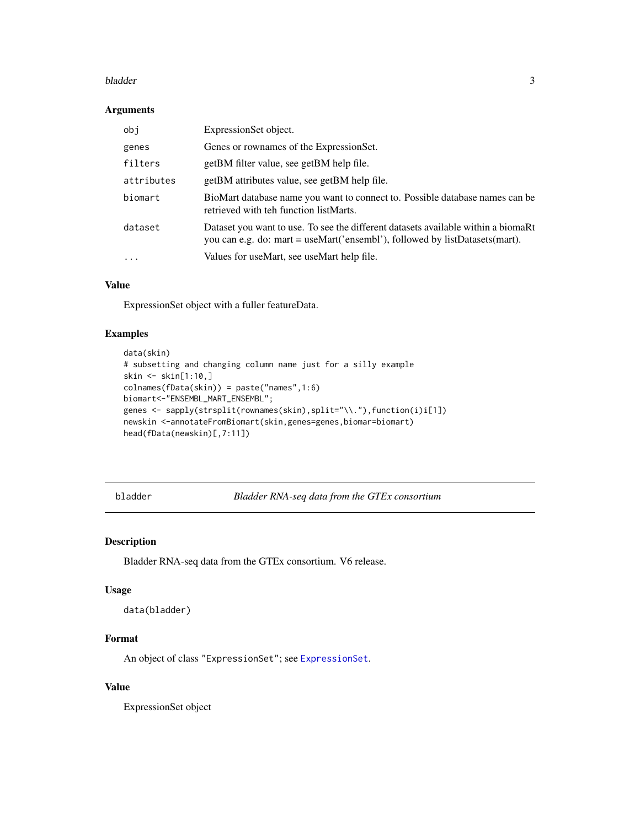#### <span id="page-2-0"></span>bladder 3

#### Arguments

| obj        | ExpressionSet object.                                                                                                                                              |
|------------|--------------------------------------------------------------------------------------------------------------------------------------------------------------------|
| genes      | Genes or rownames of the Expression Set.                                                                                                                           |
| filters    | getBM filter value, see getBM help file.                                                                                                                           |
| attributes | getBM attributes value, see getBM help file.                                                                                                                       |
| biomart    | BioMart database name you want to connect to. Possible database names can be<br>retrieved with teh function listMarts.                                             |
| dataset    | Dataset you want to use. To see the different datasets available within a biomarrow<br>you can e.g. do: mart = useMart('ensembl'), followed by listDatasets(mart). |
| $\ddots$   | Values for useMart, see useMart help file.                                                                                                                         |

#### Value

ExpressionSet object with a fuller featureData.

#### Examples

```
data(skin)
# subsetting and changing column name just for a silly example
skin <- skin[1:10,]
colnames(fData(skin)) = paste("names",1:6)
biomart<-"ENSEMBL_MART_ENSEMBL";
genes <- sapply(strsplit(rownames(skin),split="\\."),function(i)i[1])
newskin <-annotateFromBiomart(skin,genes=genes,biomar=biomart)
head(fData(newskin)[,7:11])
```
bladder *Bladder RNA-seq data from the GTEx consortium*

#### Description

Bladder RNA-seq data from the GTEx consortium. V6 release.

#### Usage

```
data(bladder)
```
#### Format

An object of class "ExpressionSet"; see [ExpressionSet](#page-0-0).

#### Value

ExpressionSet object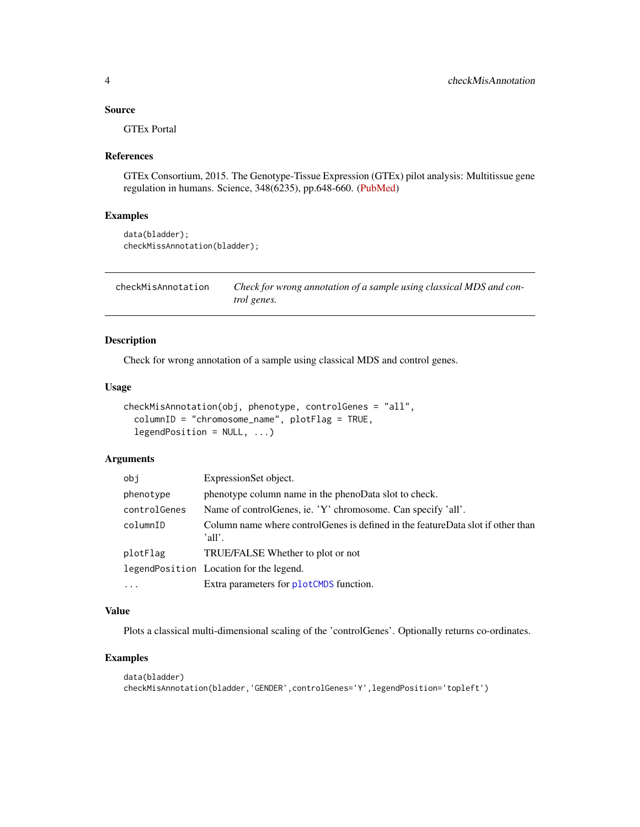#### <span id="page-3-0"></span>Source

GTEx Portal

#### References

GTEx Consortium, 2015. The Genotype-Tissue Expression (GTEx) pilot analysis: Multitissue gene regulation in humans. Science, 348(6235), pp.648-660. [\(PubMed\)](http://www.ncbi.nlm.nih.gov/pmc/articles/PMC4547484/)

#### Examples

```
data(bladder);
checkMissAnnotation(bladder);
```
<span id="page-3-1"></span>checkMisAnnotation *Check for wrong annotation of a sample using classical MDS and control genes.*

#### Description

Check for wrong annotation of a sample using classical MDS and control genes.

#### Usage

```
checkMisAnnotation(obj, phenotype, controlGenes = "all",
  columnID = "chromosome_name", plotFlag = TRUE,
 legendPosition = NULL, ...)
```
#### Arguments

| obj          | ExpressionSet object.                                                                       |
|--------------|---------------------------------------------------------------------------------------------|
| phenotype    | phenotype column name in the phenoData slot to check.                                       |
| controlGenes | Name of control Genes, ie. 'Y' chromosome. Can specify 'all'.                               |
| columnID     | Column name where control Genes is defined in the feature Data slot if other than<br>'all'. |
| plotFlag     | TRUE/FALSE Whether to plot or not                                                           |
|              | legendPosition Location for the legend.                                                     |
|              | Extra parameters for plotCMDS function.                                                     |

#### Value

Plots a classical multi-dimensional scaling of the 'controlGenes'. Optionally returns co-ordinates.

```
data(bladder)
checkMisAnnotation(bladder,'GENDER',controlGenes='Y',legendPosition='topleft')
```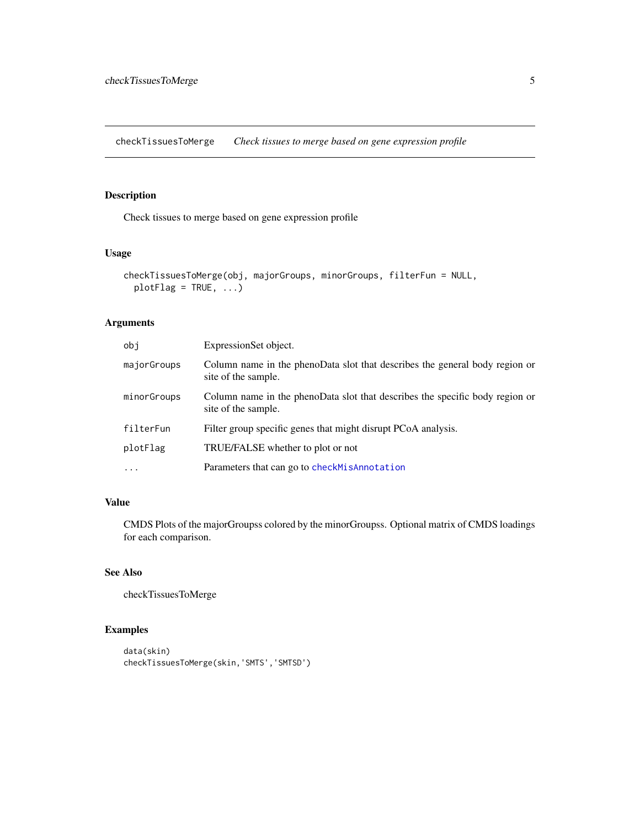<span id="page-4-0"></span>checkTissuesToMerge *Check tissues to merge based on gene expression profile*

#### Description

Check tissues to merge based on gene expression profile

#### Usage

```
checkTissuesToMerge(obj, majorGroups, minorGroups, filterFun = NULL,
 plotFlag = TRUE, ...)
```
#### Arguments

| obi         | ExpressionSet object.                                                                               |
|-------------|-----------------------------------------------------------------------------------------------------|
| majorGroups | Column name in the phenoData slot that describes the general body region or<br>site of the sample.  |
| minorGroups | Column name in the phenoData slot that describes the specific body region or<br>site of the sample. |
| filterFun   | Filter group specific genes that might disrupt PCoA analysis.                                       |
| plotFlag    | TRUE/FALSE whether to plot or not                                                                   |
| $\ddotsc$   | Parameters that can go to checkMisAnnotation                                                        |

#### Value

CMDS Plots of the majorGroupss colored by the minorGroupss. Optional matrix of CMDS loadings for each comparison.

#### See Also

checkTissuesToMerge

```
data(skin)
checkTissuesToMerge(skin,'SMTS','SMTSD')
```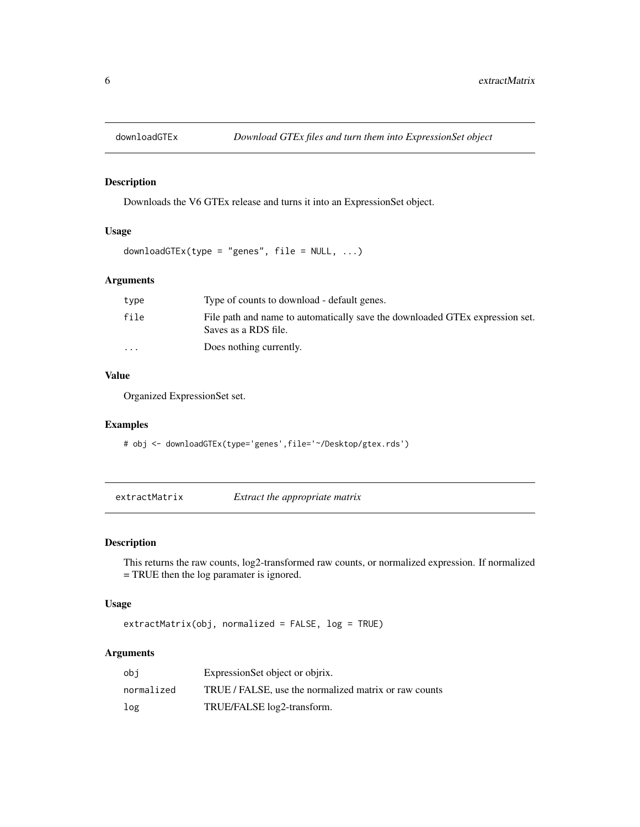<span id="page-5-0"></span>

Downloads the V6 GTEx release and turns it into an ExpressionSet object.

#### Usage

downloadGTEx(type = "genes", file =  $NULL, ...)$ 

#### Arguments

| type                    | Type of counts to download - default genes.                                                          |
|-------------------------|------------------------------------------------------------------------------------------------------|
| file                    | File path and name to automatically save the downloaded GTEx expression set.<br>Saves as a RDS file. |
| $\cdot$ $\cdot$ $\cdot$ | Does nothing currently.                                                                              |

#### Value

Organized ExpressionSet set.

#### Examples

# obj <- downloadGTEx(type='genes',file='~/Desktop/gtex.rds')

extractMatrix *Extract the appropriate matrix*

#### Description

This returns the raw counts, log2-transformed raw counts, or normalized expression. If normalized = TRUE then the log paramater is ignored.

#### Usage

extractMatrix(obj, normalized = FALSE, log = TRUE)

#### Arguments

| obi        | ExpressionSet object or objrix.                       |
|------------|-------------------------------------------------------|
| normalized | TRUE / FALSE, use the normalized matrix or raw counts |
| log        | TRUE/FALSE log2-transform.                            |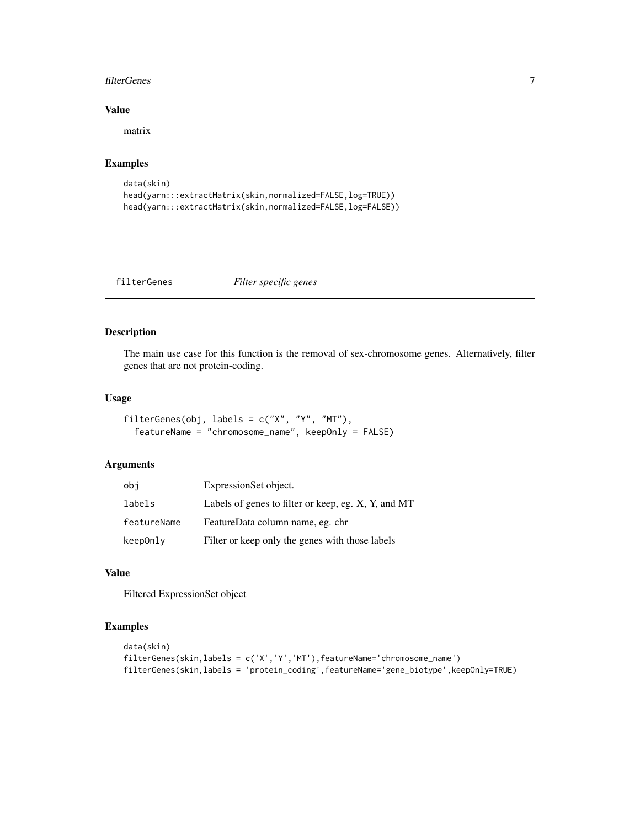#### <span id="page-6-0"></span>filterGenes 7

#### Value

matrix

#### Examples

```
data(skin)
head(yarn:::extractMatrix(skin,normalized=FALSE,log=TRUE))
head(yarn:::extractMatrix(skin,normalized=FALSE,log=FALSE))
```
filterGenes *Filter specific genes*

#### Description

The main use case for this function is the removal of sex-chromosome genes. Alternatively, filter genes that are not protein-coding.

#### Usage

```
filterGenes(obj, labels = c("X", "Y", "MT"),
  featureName = "chromosome_name", keepOnly = FALSE)
```
#### Arguments

| obi         | ExpressionSet object.                               |
|-------------|-----------------------------------------------------|
| labels      | Labels of genes to filter or keep, eg. X, Y, and MT |
| featureName | FeatureData column name, eg. chr                    |
| keep0nly    | Filter or keep only the genes with those labels     |

#### Value

Filtered ExpressionSet object

```
data(skin)
filterGenes(skin,labels = c('X','Y','MT'),featureName='chromosome_name')
filterGenes(skin,labels = 'protein_coding',featureName='gene_biotype',keepOnly=TRUE)
```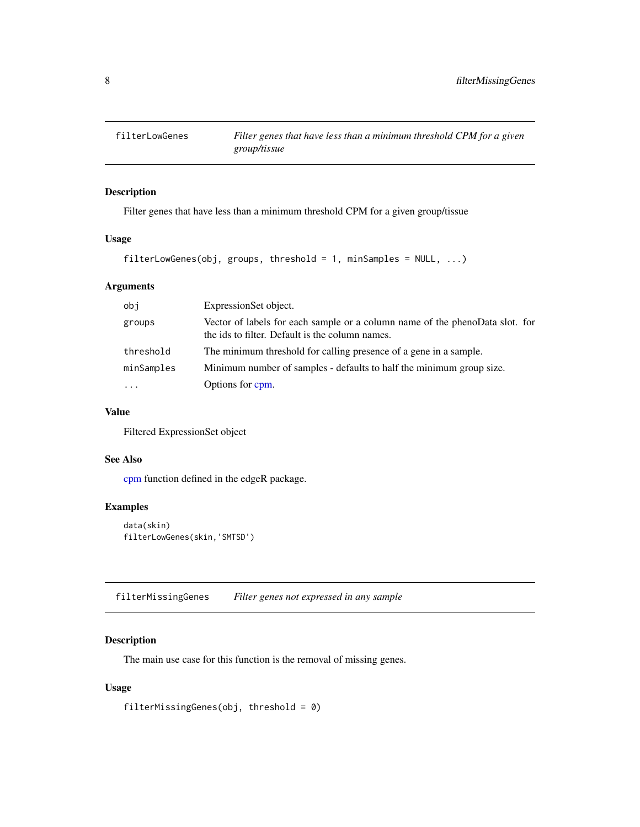<span id="page-7-0"></span>

Filter genes that have less than a minimum threshold CPM for a given group/tissue

#### Usage

```
filterLowGenes(obj, groups, threshold = 1, minSamples = NULL, ...)
```
#### Arguments

| obi        | ExpressionSet object.                                                                                                           |
|------------|---------------------------------------------------------------------------------------------------------------------------------|
| groups     | Vector of labels for each sample or a column name of the phenoData slot. for<br>the ids to filter. Default is the column names. |
| threshold  | The minimum threshold for calling presence of a gene in a sample.                                                               |
| minSamples | Minimum number of samples - defaults to half the minimum group size.                                                            |
| .          | Options for cpm.                                                                                                                |

#### Value

Filtered ExpressionSet object

#### See Also

[cpm](#page-0-0) function defined in the edgeR package.

#### Examples

```
data(skin)
filterLowGenes(skin,'SMTSD')
```
filterMissingGenes *Filter genes not expressed in any sample*

#### Description

The main use case for this function is the removal of missing genes.

#### Usage

filterMissingGenes(obj, threshold = 0)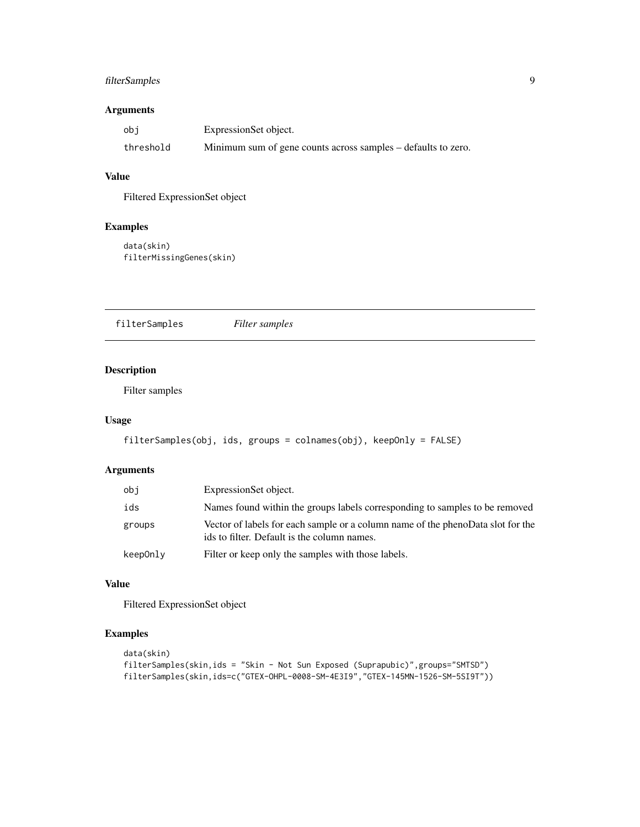#### <span id="page-8-0"></span>filterSamples 9

#### Arguments

| obi       | ExpressionSet object.                                         |
|-----------|---------------------------------------------------------------|
| threshold | Minimum sum of gene counts across samples – defaults to zero. |

#### Value

Filtered ExpressionSet object

#### Examples

```
data(skin)
filterMissingGenes(skin)
```
filterSamples *Filter samples*

#### Description

Filter samples

#### Usage

```
filterSamples(obj, ids, groups = colnames(obj), keepOnly = FALSE)
```
#### Arguments

| obj      | ExpressionSet object.                                                                                                          |
|----------|--------------------------------------------------------------------------------------------------------------------------------|
| ids      | Names found within the groups labels corresponding to samples to be removed                                                    |
| groups   | Vector of labels for each sample or a column name of the phenoData slot for the<br>ids to filter. Default is the column names. |
| keepOnly | Filter or keep only the samples with those labels.                                                                             |

#### Value

Filtered ExpressionSet object

```
data(skin)
filterSamples(skin,ids = "Skin - Not Sun Exposed (Suprapubic)",groups="SMTSD")
filterSamples(skin,ids=c("GTEX-OHPL-0008-SM-4E3I9","GTEX-145MN-1526-SM-5SI9T"))
```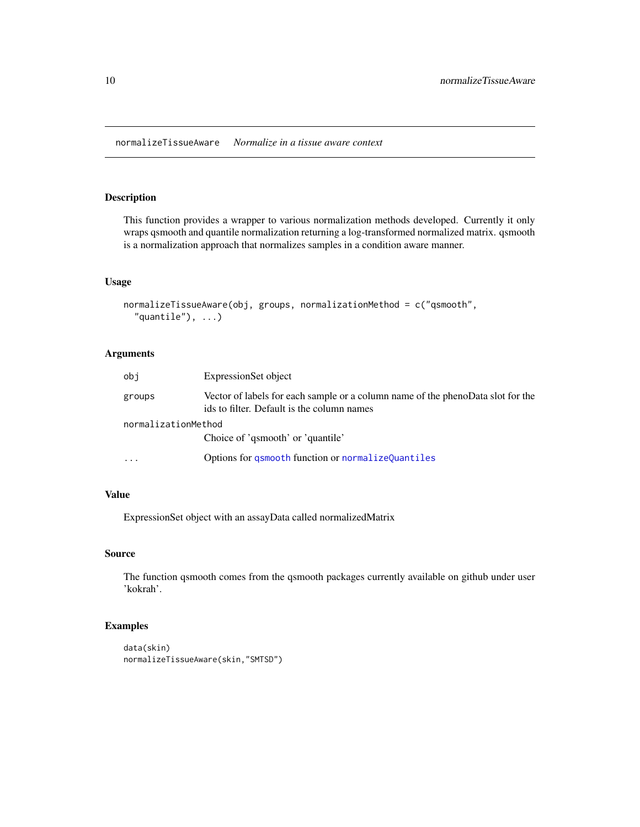<span id="page-9-0"></span>normalizeTissueAware *Normalize in a tissue aware context*

#### Description

This function provides a wrapper to various normalization methods developed. Currently it only wraps qsmooth and quantile normalization returning a log-transformed normalized matrix. qsmooth is a normalization approach that normalizes samples in a condition aware manner.

#### Usage

```
normalizeTissueAware(obj, groups, normalizationMethod = c("qsmooth",
  "quantile"), \ldots)
```
#### Arguments

| obi                     | ExpressionSet object                                                                                                          |  |
|-------------------------|-------------------------------------------------------------------------------------------------------------------------------|--|
| groups                  | Vector of labels for each sample or a column name of the phenoData slot for the<br>ids to filter. Default is the column names |  |
| normalizationMethod     |                                                                                                                               |  |
|                         | Choice of 'qsmooth' or 'quantile'                                                                                             |  |
| $\cdot$ $\cdot$ $\cdot$ | Options for asmooth function or normalizeQuantiles                                                                            |  |

### Value

ExpressionSet object with an assayData called normalizedMatrix

#### Source

The function qsmooth comes from the qsmooth packages currently available on github under user 'kokrah'.

```
data(skin)
normalizeTissueAware(skin,"SMTSD")
```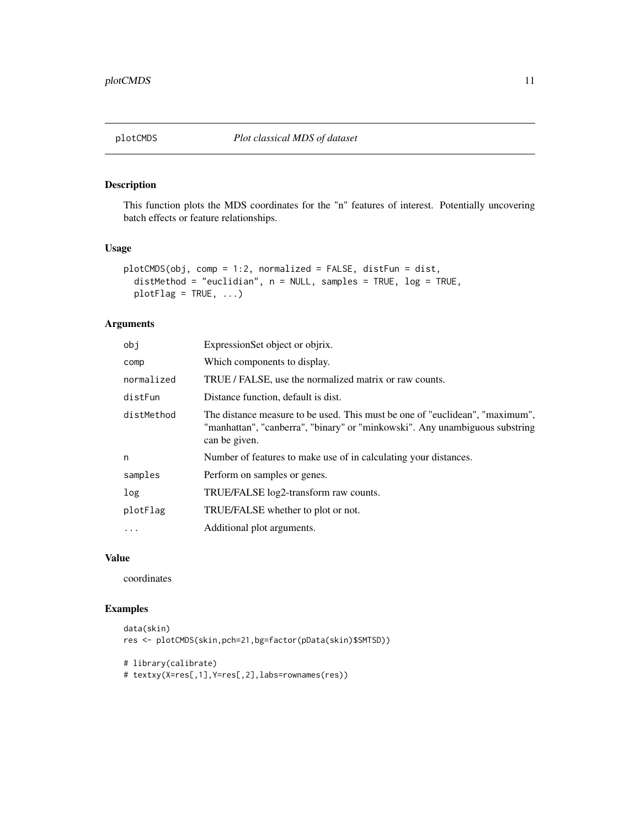<span id="page-10-1"></span><span id="page-10-0"></span>This function plots the MDS coordinates for the "n" features of interest. Potentially uncovering batch effects or feature relationships.

#### Usage

```
plotCMDS(obj, comp = 1:2, normalized = FALSE, distFun = dist,
 distMethod = "euclidian", n = NULL, samples = TRUE, log = TRUE,
 plotFlag = TRUE, ...)
```
#### Arguments

| obj        | ExpressionSet object or objrix.                                                                                                                                              |
|------------|------------------------------------------------------------------------------------------------------------------------------------------------------------------------------|
| comp       | Which components to display.                                                                                                                                                 |
| normalized | TRUE / FALSE, use the normalized matrix or raw counts.                                                                                                                       |
| distFun    | Distance function, default is dist.                                                                                                                                          |
| distMethod | The distance measure to be used. This must be one of "euclidean", "maximum",<br>"manhattan", "canberra", "binary" or "minkowski". Any unambiguous substring<br>can be given. |
| n          | Number of features to make use of in calculating your distances.                                                                                                             |
| samples    | Perform on samples or genes.                                                                                                                                                 |
| log        | TRUE/FALSE log2-transform raw counts.                                                                                                                                        |
| plotFlag   | TRUE/FALSE whether to plot or not.                                                                                                                                           |
| .          | Additional plot arguments.                                                                                                                                                   |

#### Value

coordinates

#### Examples

```
data(skin)
res <- plotCMDS(skin,pch=21,bg=factor(pData(skin)$SMTSD))
```

```
# library(calibrate)
```
# textxy(X=res[,1],Y=res[,2],labs=rownames(res))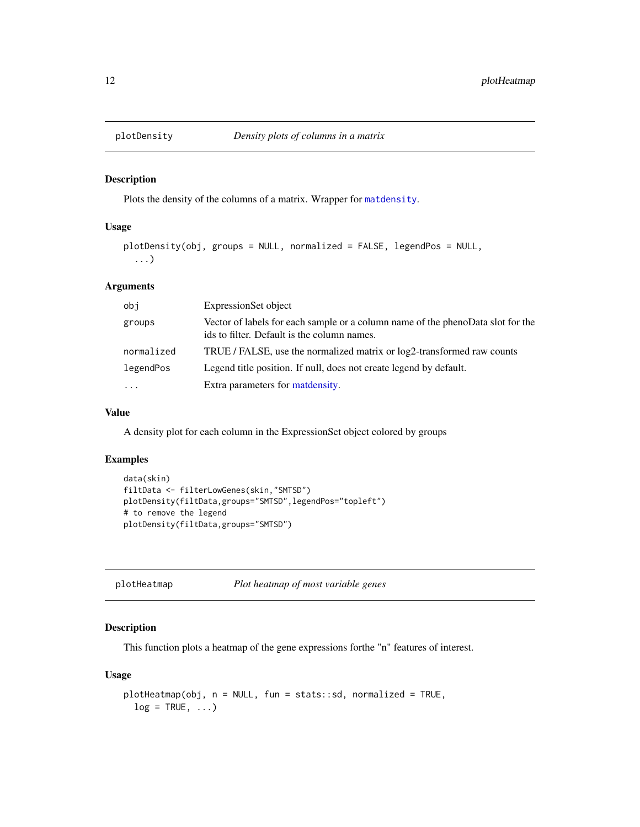<span id="page-11-0"></span>

Plots the density of the columns of a matrix. Wrapper for [matdensity](#page-0-0).

#### Usage

```
plotDensity(obj, groups = NULL, normalized = FALSE, legendPos = NULL,
  ...)
```
#### Arguments

| obi        | ExpressionSet object                                                                                                           |
|------------|--------------------------------------------------------------------------------------------------------------------------------|
| groups     | Vector of labels for each sample or a column name of the phenoData slot for the<br>ids to filter. Default is the column names. |
| normalized | TRUE / FALSE, use the normalized matrix or log2-transformed raw counts                                                         |
| legendPos  | Legend title position. If null, does not create legend by default.                                                             |
| $\cdots$   | Extra parameters for matdensity.                                                                                               |

#### Value

A density plot for each column in the ExpressionSet object colored by groups

#### Examples

```
data(skin)
filtData <- filterLowGenes(skin,"SMTSD")
plotDensity(filtData,groups="SMTSD",legendPos="topleft")
# to remove the legend
plotDensity(filtData,groups="SMTSD")
```

| plotHeatmap | Plot heatmap of most variable genes |
|-------------|-------------------------------------|
|-------------|-------------------------------------|

#### Description

This function plots a heatmap of the gene expressions forthe "n" features of interest.

#### Usage

```
plotHeatmap(obj, n = NULL, fun = stats::sd, normalized = TRUE,
  log = TRUE, ...
```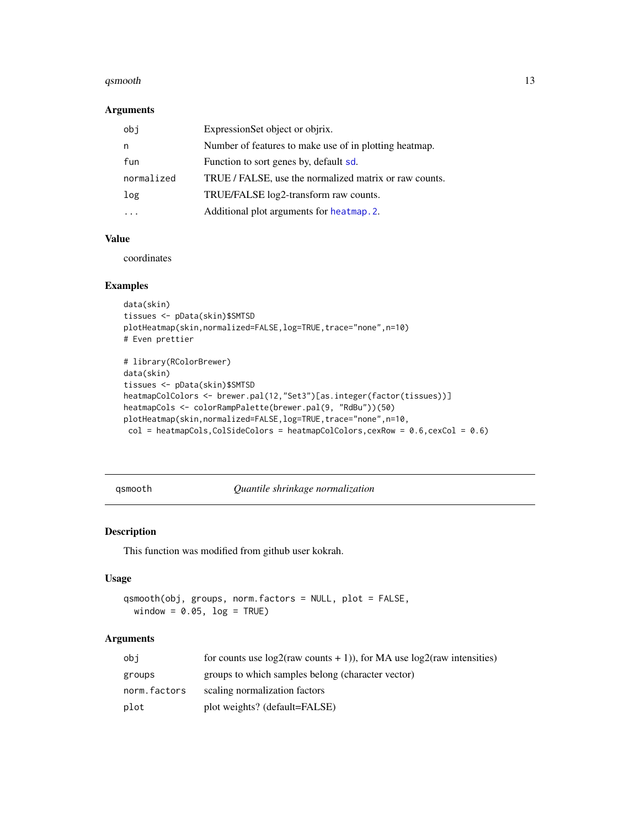#### <span id="page-12-0"></span>qsmooth and the contract of the contract of the contract of the contract of the contract of the contract of the contract of the contract of the contract of the contract of the contract of the contract of the contract of th

#### Arguments

| obj        | ExpressionSet object or objrix.                        |
|------------|--------------------------------------------------------|
| n          | Number of features to make use of in plotting heatmap. |
| fun        | Function to sort genes by, default sd.                 |
| normalized | TRUE / FALSE, use the normalized matrix or raw counts. |
| log        | TRUE/FALSE log2-transform raw counts.                  |
|            | Additional plot arguments for heatmap. 2.              |

#### Value

coordinates

#### Examples

```
data(skin)
tissues <- pData(skin)$SMTSD
plotHeatmap(skin,normalized=FALSE,log=TRUE,trace="none",n=10)
# Even prettier
# library(RColorBrewer)
data(skin)
tissues <- pData(skin)$SMTSD
heatmapColColors <- brewer.pal(12,"Set3")[as.integer(factor(tissues))]
heatmapCols <- colorRampPalette(brewer.pal(9, "RdBu"))(50)
plotHeatmap(skin,normalized=FALSE,log=TRUE,trace="none",n=10,
 col = heatmapCols, ColSideColors = heatmapColColors, cexRow = 0.6, cexCol = 0.6)
```
<span id="page-12-1"></span>qsmooth *Quantile shrinkage normalization*

#### Description

This function was modified from github user kokrah.

#### Usage

```
qsmooth(obj, groups, norm.factors = NULL, plot = FALSE,
 window = 0.05, log = TRUE)
```
#### Arguments

| obi          | for counts use $log2$ (raw counts + 1)), for MA use $log2$ (raw intensities) |
|--------------|------------------------------------------------------------------------------|
| groups       | groups to which samples belong (character vector)                            |
| norm.factors | scaling normalization factors                                                |
| plot         | plot weights? (default=FALSE)                                                |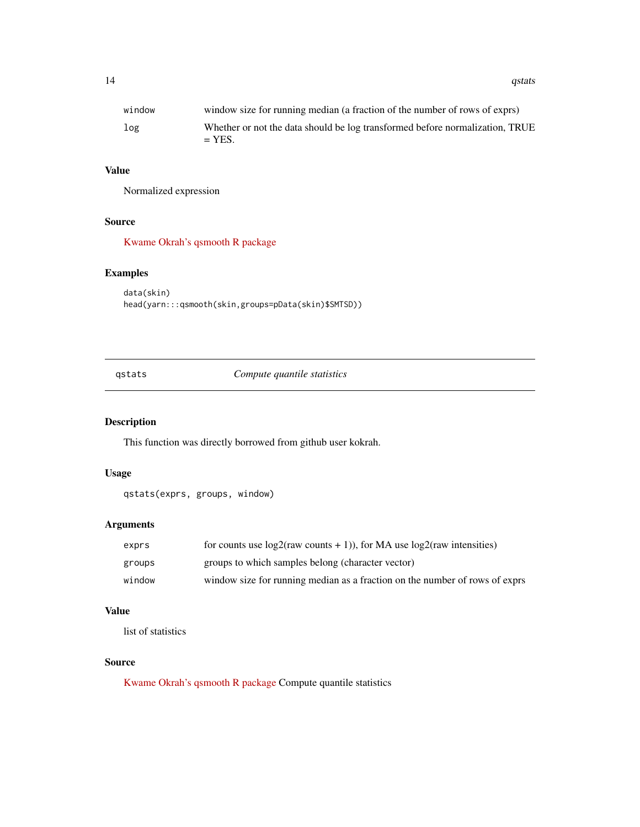#### <span id="page-13-0"></span>Value

Normalized expression

#### Source

[Kwame Okrah's qsmooth R package](https://raw.githubusercontent.com/kokrah/qsmooth/master/R/qsmooth.r)

#### Examples

```
data(skin)
head(yarn:::qsmooth(skin,groups=pData(skin)$SMTSD))
```
qstats *Compute quantile statistics*

#### Description

This function was directly borrowed from github user kokrah.

#### Usage

```
qstats(exprs, groups, window)
```
#### Arguments

| exprs  | for counts use $log2$ (raw counts + 1)), for MA use $log2$ (raw intensities) |
|--------|------------------------------------------------------------------------------|
| groups | groups to which samples belong (character vector)                            |
| window | window size for running median as a fraction on the number of rows of exprs  |

#### Value

list of statistics

#### Source

[Kwame Okrah's qsmooth R package](https://raw.githubusercontent.com/kokrah/qsmooth/master/R/qstats.r) Compute quantile statistics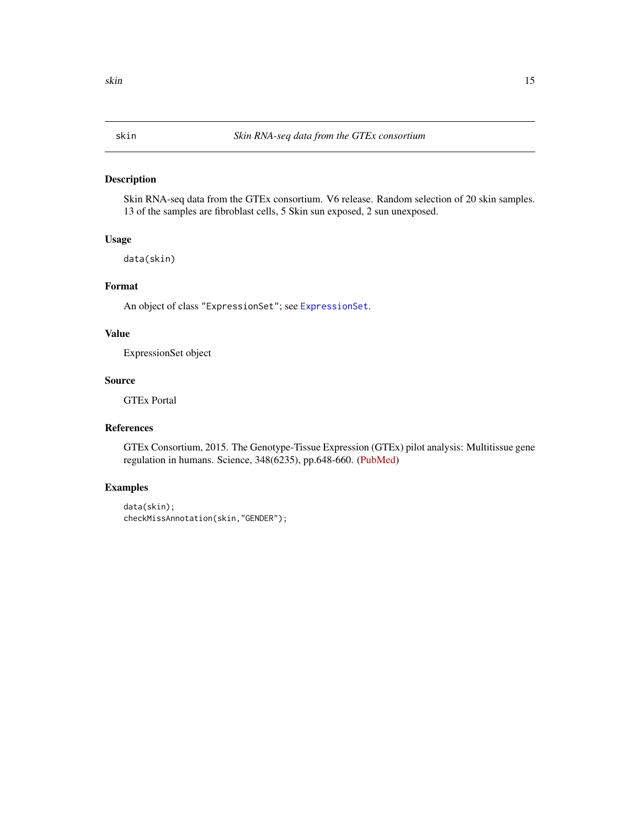<span id="page-14-0"></span>Skin RNA-seq data from the GTEx consortium. V6 release. Random selection of 20 skin samples. 13 of the samples are fibroblast cells, 5 Skin sun exposed, 2 sun unexposed.

#### Usage

data(skin)

#### Format

An object of class "ExpressionSet"; see [ExpressionSet](#page-0-0).

#### Value

ExpressionSet object

#### Source

GTEx Portal

#### References

GTEx Consortium, 2015. The Genotype-Tissue Expression (GTEx) pilot analysis: Multitissue gene regulation in humans. Science, 348(6235), pp.648-660. [\(PubMed\)](http://www.ncbi.nlm.nih.gov/pmc/articles/PMC4547484/)

```
data(skin);
checkMissAnnotation(skin,"GENDER");
```